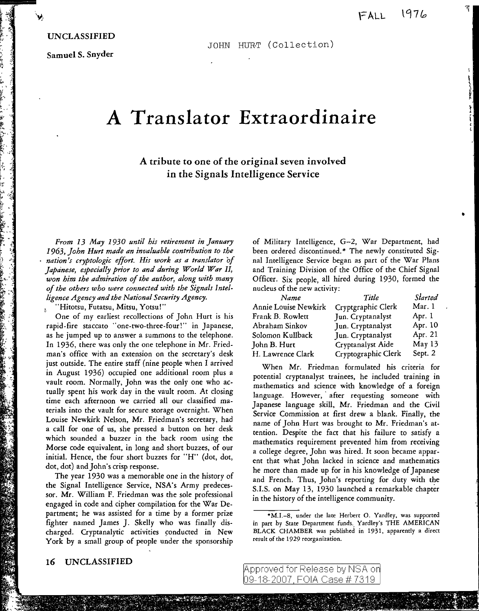•

## UNCLASSIFIED

! ,,.;,: .. -, •• <;, .t: ~ *-z* " -

' , - ,, .~~  $\tau$  .

 $\mathfrak{c}$  . : . ' >\_.

"<br>" i++ .  $"$  .  $\cdot$  :  $\cdot$  .

 $~.$ 

} .,, '·  $\cdot$  ;

it<br>Li

Samuel S. Snyder

JOHN HURT (Collection)

## **A Translator Extraordinaire**

## A tribute to one of the original seven involved in the Signals Intelligence Service

*From 13 May 1930 until his retirement in January 1963, John Hurt made an invaluable contribution to the nation's cryptologic effort. His work as a translator of Japanese, especially prior to and during World War II, won him the admiration of the author, along with many of the others who were connected with the Signals Intelligence Agency and the National Security Agency.* 

"Hitotsu, Futatsu, Mitsu, Yotsu!"

One of my earliest recollections of John Hurt is his rapid-fire staccato "one-two-three-four!" in Japanese, as he jumped up to answer a summons to the telephone. In 1936, there was only the one telephone in Mr. Friedman's office with an extension on the secretary's desk just outside. The entire staff (nine people when I arrived in August 1936) occupied one additional room plus a vault room. Normally, John was the only one who actually spent his work day in the vault room. At closing time each afternoon we carried all our classified materials into the vault for secure storage overnight. When Louise Newkirk Nelson, Mr. Friedman's secretary, had a call for one of us, she pressed a button on her desk which sounded a buzzer in the back room using the Morse code equivalent, in long and short buzzes, of our initial. Hence, the four short buzzes for "H'' (dot, dot, dot, dot) and John's crisp response.

The year 1930 was a memorable one in the history of the Signal Intelligence Service, NSA's Army predecessor. Mr. William F. Friedman was the sole professional engaged in code and cipher compilation for the War Department; he was assisted for a time by a former prize fighter named James J. Skelly who was finally discharged. Cryptanalytic activities conducted in New York by a small group of people under the sponsorship

of Military Intelligence, G-2, War Department, had been ordered discontinued.\* The newly constituted Signal Intelligence Service began as part of the War Plans and Training Division of the Office of the Chief Signal Officer. Six people, all hired during 1930, formed the nucleus of the new activity:

| Name                 | Title               | Started |
|----------------------|---------------------|---------|
| Annie Louise Newkirk | Cryptgraphic Clerk  | Mar. 1  |
| Frank B. Rowlett     | Jun. Cryptanalyst   | Apr. 1  |
| Abraham Sinkov       | Jun. Cryptanalyst   | Apr. 10 |
| Solomon Kullback     | Jun. Cryptanalyst   | Apr. 21 |
| John B. Hurt         | Cryptanalyst Aide   | May 13  |
| H. Lawrence Clark    | Cryptographic Clerk | Sept. 2 |

When Mr. Friedman formulated his criteria for potential cryptanalyst trainees, he included training in mathematics and science with knowledge of a foreign language. However, after requesting someone with Japanese language skill, Mr. Friedman and the Civil Service Commission at first drew a blank. Finally, the name of John Hurt was brought to Mr. Friedman's attention. Despite the fact that his failure to satisfy a mathematics requirement prevented him from receiving a college degree, John was hired. It soon became apparent that what John lacked in science and mathematics he more than made up for in his knowledge of Japanese and French. Thus, John's reporting for duty with the S.l.S. on May 13, 1930 launched a remarkable chapter in the history of the intelligence community.

16 UNCLASSIFIED

<sup>•</sup>M.1.-8, under the late Herbert 0. Yardley, was supported in part by State Department funds. Yardley's THE AMERICAN BLACK CHAMBER was published in 1931, apparently a direct result of the 1929 reorganization.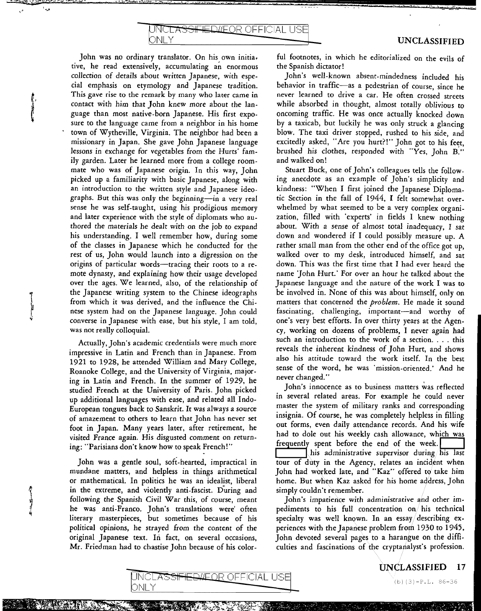John was no ordinary translator. On his own initia. tive, he read extensively, accumulating an enormous collection of details about written Japanese, with especial emphasis on etymology and Japanese tradition. This gave rise to the remark by many who later came in contact with him that John knew more about the language than most native-born Japanese. His first exposure to the language came from a neighbor in his home town of Wytheville, Virginia. The neighbor had been a missionary in Japan. She gave John Japanese language lessons in exchange for vegetables from the Hurts' family garden. Later he learned more from a college roommate who was of Japanese origin. In this way, John picked up a familiarity with basic Japanese, along with an introduction to the written style and Japanese ideographs. But this was only the beginning-in a very real sense he was self-taught, using his prodigious memory and later experience with the style of diplomats who authored the materials he dealt with on the job to expand his understanding. I well remember how, during some of the classes in Japanese which he conducted for the rest of us, John would launch into a digression on the origins of particular words-tracing their roots to a remote dynasty, and explaining how their usage developed over the ages. We learned, also, of the relationship of the Japanese writing system to the Chinese ideographs from which it was derived, and the influence the Chinese system had on the Japanese language. John could converse in Japanese with ease, but his style, I am told, was not really colloquial.

ONL Y

**IED/LEOR OFFICIAL USE** 

وردا

Actually, John's academic credentials were much more impressive in Latin and French than in Japanese. From 1921 to 1928, he attended William and Mary College, Roanoke College, and the University of Virginia, majoring in Latin and French. In the summer of 1929, he studied French at the University of Paris. John picked up additional languages with ease, and related all Indo-European tongues back to Sanskrit. It was always a source of amazement to others to learn that John has never set foot in Japan. Many years later, after retirement, he visited France again. His disgusted comment on returning: "Parisians don't know how to speak French!"

John was a gentle soul, soft-hearted, impractical in mundane matters, and helpless in things arithmetical or mathematical. In politics he was an idealist, liberal in the extreme, and violently anti-fascist. During and following the Spanish Civil War this, of course, meant he was anti-Franco. John's translations were' often literary masterpieces, but sometimes because of his political opinions, he strayed from the content of the original Japanese text. In fact, on several occasions, Mr. Friedman had to chastise John because of his colorful footnotes, in which he editorialized on the evils of the Spanish dictator!

John's well-known absent-mindedness included his behavior in traffic-as a pedestrian of course, since he never learned to drive a car. He often crossed streets while absorbed in thought, almost totally oblivious to oncoming traffic. He was once actually knocked down by a taxicab, but luckily he was only struck a glancing blow. The taxi driver stopped, rushed to his side, and excitedly asked, "Are you hurt?!" John got to his feet, brushed his clothes, responded with "Yes, John B." and walked on!

Stuart Buck, one of John's colleagues tells the following anecdote as an example of John's simplicity and kindness: "When I first joined the Japanese Diplomatic Section in the fall of 1944, I felt somewhat overwhelmed by what seemed to be a very complex organization, filled with 'experts' in fields I knew nothing about. With a sense of almost total inadequacy, I sat down and wondered if I could possibly measure up. A rather small man from the other end of the office got up, walked over to my desk, introduced himself, and sat down. This was the first time that I had ever heard the name 'John Hurt.' For over an hour he talked about the Japanese language and the nature of the work I was to be involved in. None of this was about himself, only on matters that concerned the *problem.* He made it sound fascinating, challenging, important-and worthy of one's very best efforts. In over thirty years at the Agency, working on dozens of problems, I never again had such an introduction to the work of a section.... this reveals the inherent kindness of John Hurt, and shows also his attitude toward the work itself. In the best sense of the word, he was 'mission-oriented.' And he never changed."

John's innocence as to business matters was reflected in several related areas. For example he could never master the system of military ranks and corresponding insignia. Of course, he was completely helpless in filling out forms, even daily attendance records. And his wife had to dole out his weekly cash allowance, which was frequently spent before the end of the week. tour of duty in the Agency, relates an incident when John had worked late, and "Kaz" offered to take him home. But when Kaz asked for his home address, John simply couldn't remember.

John's impatience with administrative and other impediments to his full concentration *on/* his technical specialty was well known. In an essay/ describing experiences with the Japanese problem from 1930 to 1945, John devoted several pages to a harangue on the difficulties and fascinations of tbe cryptanalyst's profession.

UNCLASSIFIED 17



-- <del>1998 - 1998 - 1998 - 1998 - 1998 - 1998 - 1998</del>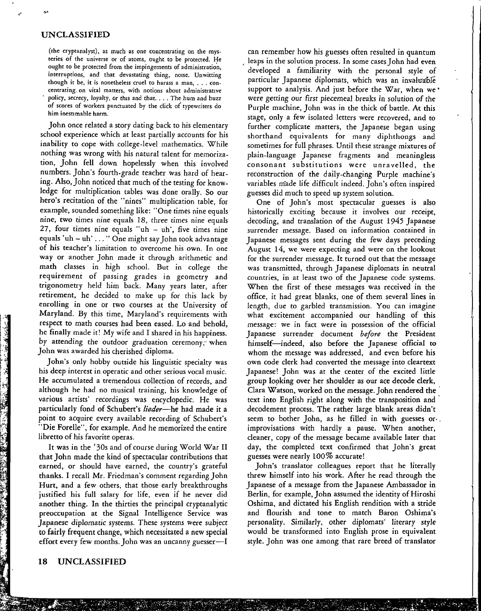(the cryptanalyst), as much as one concentrating on the mysteries of the universe or of atoms, ought to be protected. He ought to be protected from the impingements of administration, interruptions, and that devastating thing, noise. Unwitting though it be, it is nonetheless cruel to harass a man, ... concentrating. on vital matters, with notions about administrative policy, *secrecy,* loyalty, or this and chat .... The hum and buzz of scores of workers punctuated by the click of typewriters do him inestimable harm.

John once related a story dating back to his elementary school experience which at least partially accounts for his inability to cope with college-level mathematics. While nothing was wrong with his natural talent for memorization, John fell down hopelessly when this involved numbers. John's fourth-grade teacher was hard of hearing. Also, John noticed that much of the testing for knowledge for multiplication tables was done orally. So our hero's recitation of the "nines" multiplication table, for example, sounded something like: "One times nine equals nine, two times nine equals 18, three times nine equals 27, four times nine equals "uh  $-$  uh', five times nine equals 'uh - uh' ... "One might say John took advantage of his teacher's limitation to overcome his own. In one way or another John made it through arithmetic and math classes in high school. But in college the requirement of passing grades in geometry and trigonometry held him back. Many years later, after retirement, he decided to make up for this lack by enrolling in one or two courses at the University of Maryland. By this time, Maryland's requirements with respect to math courses had been eased. Lo and behold, he finally made it! My wife and I shared in his happiness. by attending the outdoor graduation ceremony, when John was awarded his cherished diploma.

Joha's only hobby outside his linguistic specialty was his deep interest in operatic and other serious vocal music. He accumulated a tremendous collection of records, and although he had no musical training, his knowledge of various artists' recordings was encyclopedic. He was particularly fond of Schubert's *lieder-he* had made it a point to acquire every available recording of Schubert's "Die Forelle", for example. And he memorized the entire libretto of his favorite operas.

It was in the '30s and of course during World War II that John made the kind of spectacular contributions that earned, or should have earned, the country's grateful thanks. I recall Mr. Friedman's comment regarding John Hurt, and a few others, that those early breakthroughs justified his full salary for life, even if he never did another thing. In the thirties the principal cryptanalytic preoccupation at the Signal Intelligence Service was Japanese diplomatic systems. These systems were subject to fairly frequent change, which necessitated a new special effort every few months. John was an uncanny guesser-I

can remember how his guesses often resulted in quantum leaps in the solution process. In some cases John had even developed a familiarity with the personal style of particular Japanese diplomats, which was an invaluable support to analysis. And just before the War, when we' were getting our first piecemeal breaks in solution of the Purple machine, John was in the thick of battle. At this stage, only a few isolated letters were recovered, and to further complicate matters, the Japanese began using shorthand equivalents for many diphthongs and sometimes for full phrases. Until these strange mixtures of plain-language Japanese fragments and meaningless consonant substitutions were unravelled, the reconstruction of the daily-changing Purple machine's variables made life difficult indeed. John's often inspired guesses did much to speed up system solution.

One of John's most spectacular guesses is also historically exciting because it involves our receipt, decoding, and translation of the August 1945 Japanese surrender message. Based on information contained in Japanese messages sent during the few days preceding August 14, we were expecting and were on the lookout for the surrender message. It turned out that the message was transmitted, through Japanese diplomats in neutral countries, in at least two of the Japanese code systems. When the first of these messages was received in the office, it had great blanks, one of them several lines in length, due to garbled transmission. You can imagine what excitement accompanied our handling of this message: we in fact were in possession of the official Japanese surrender document *before* the President himself-indeed, also before the Japanese official to whom the message was addressed, and even before his own code clerk had converted the message into cleartext Japanese! John was at the center of the excited little group looking over her shoulder as our ace decode clerk, Clara Watson, worked on the message.John rendered the· text into English right along with the transposition and decodement process. The rather large blank areas didn't seem to bother John, as he filled in with guesses or·. improvisations with hardly a pause. When another, cleaner, copy of the message became available later that day, the completed text confirmed that John's great guesses were nearly 100% accurate!

John's translator colleagues report that he literally threw himself into his work. After he read through the Japanese of a message from the Japanese Ambassador in Berlin, for example, John assumed the identity of Hiroshi Oshima, and dictated his English rendition with a stride and flourish and tone to match Baron Oshima's personality. Similarly, other diplomats' literary style would be transformed into English prose in equivalent style. John was one among that rare breed of translator